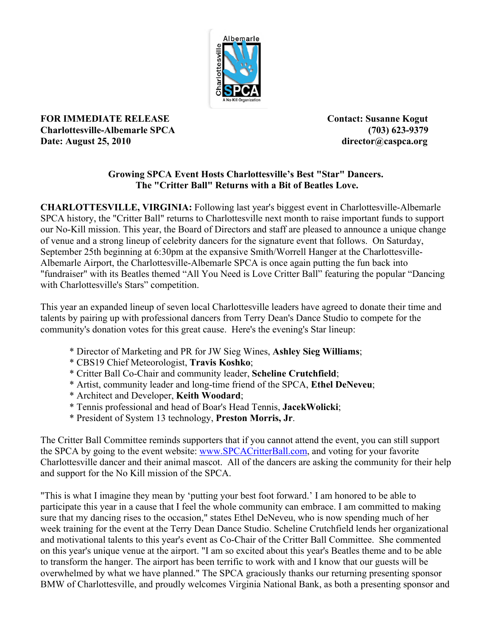

**FOR IMMEDIATE RELEASE Contact: Susanne Kogut Charlottesville-Albemarle SPCA (703) 623-9379 Date:** August 25, 2010 director@caspca.org

## **Growing SPCA Event Hosts Charlottesville's Best "Star" Dancers. The "Critter Ball" Returns with a Bit of Beatles Love.**

**CHARLOTTESVILLE, VIRGINIA:** Following last year's biggest event in Charlottesville-Albemarle SPCA history, the "Critter Ball" returns to Charlottesville next month to raise important funds to support our No-Kill mission. This year, the Board of Directors and staff are pleased to announce a unique change of venue and a strong lineup of celebrity dancers for the signature event that follows. On Saturday, September 25th beginning at 6:30pm at the expansive Smith/Worrell Hanger at the Charlottesville-Albemarle Airport, the Charlottesville-Albemarle SPCA is once again putting the fun back into "fundraiser" with its Beatles themed "All You Need is Love Critter Ball" featuring the popular "Dancing with Charlottesville's Stars" competition.

This year an expanded lineup of seven local Charlottesville leaders have agreed to donate their time and talents by pairing up with professional dancers from Terry Dean's Dance Studio to compete for the community's donation votes for this great cause. Here's the evening's Star lineup:

- \* Director of Marketing and PR for JW Sieg Wines, **Ashley Sieg Williams**;
- \* CBS19 Chief Meteorologist, **Travis Koshko**;
- \* Critter Ball Co-Chair and community leader, **Scheline Crutchfield**;
- \* Artist, community leader and long-time friend of the SPCA, **Ethel DeNeveu**;
- \* Architect and Developer, **Keith Woodard**;
- \* Tennis professional and head of Boar's Head Tennis, **JacekWolicki**;
- \* President of System 13 technology, **Preston Morris, Jr**.

The Critter Ball Committee reminds supporters that if you cannot attend the event, you can still support the SPCA by going to the event website: www.SPCACritterBall.com, and voting for your favorite Charlottesville dancer and their animal mascot. All of the dancers are asking the community for their help and support for the No Kill mission of the SPCA.

"This is what I imagine they mean by 'putting your best foot forward.' I am honored to be able to participate this year in a cause that I feel the whole community can embrace. I am committed to making sure that my dancing rises to the occasion," states Ethel DeNeveu, who is now spending much of her week training for the event at the Terry Dean Dance Studio. Scheline Crutchfield lends her organizational and motivational talents to this year's event as Co-Chair of the Critter Ball Committee. She commented on this year's unique venue at the airport. "I am so excited about this year's Beatles theme and to be able to transform the hanger. The airport has been terrific to work with and I know that our guests will be overwhelmed by what we have planned." The SPCA graciously thanks our returning presenting sponsor BMW of Charlottesville, and proudly welcomes Virginia National Bank, as both a presenting sponsor and